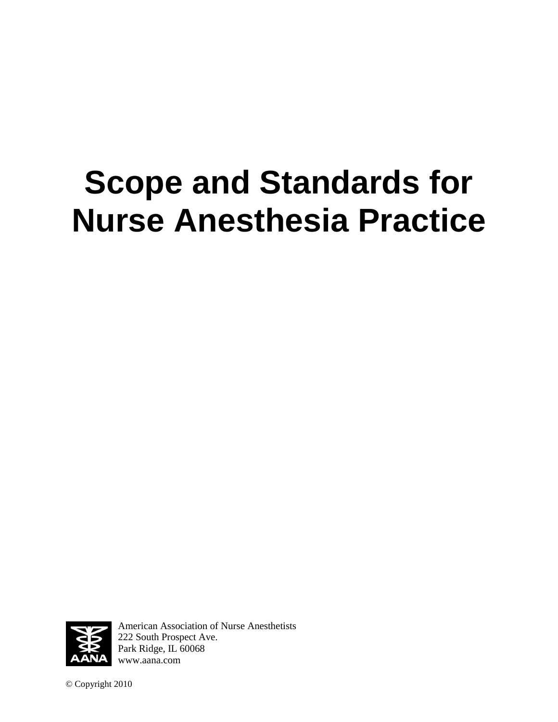# **Scope and Standards for Nurse Anesthesia Practice**



American Association of Nurse Anesthetists 222 South Prospect Ave. Park Ridge, IL 60068 [www.aana.com](http://www.aana.com/)

© Copyright 2010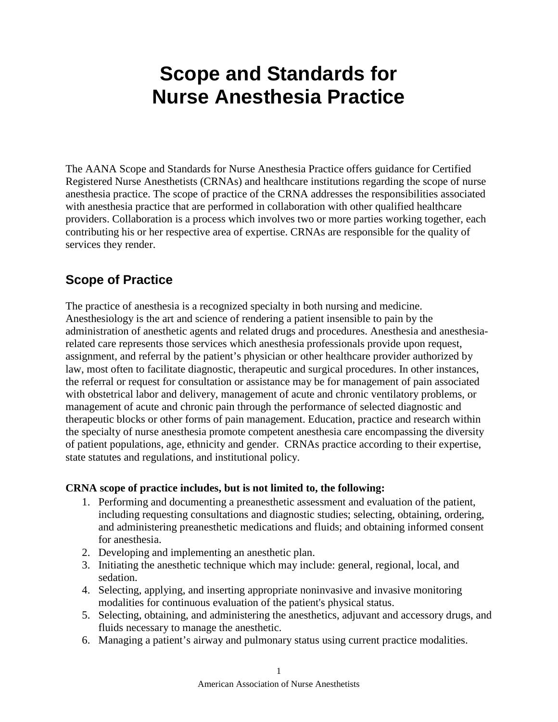# **Scope and Standards for Nurse Anesthesia Practice**

The AANA Scope and Standards for Nurse Anesthesia Practice offers guidance for Certified Registered Nurse Anesthetists (CRNAs) and healthcare institutions regarding the scope of nurse anesthesia practice. The scope of practice of the CRNA addresses the responsibilities associated with anesthesia practice that are performed in collaboration with other qualified healthcare providers. Collaboration is a process which involves two or more parties working together, each contributing his or her respective area of expertise. CRNAs are responsible for the quality of services they render.

# **Scope of Practice**

The practice of anesthesia is a recognized specialty in both nursing and medicine. Anesthesiology is the art and science of rendering a patient insensible to pain by the administration of anesthetic agents and related drugs and procedures. Anesthesia and anesthesiarelated care represents those services which anesthesia professionals provide upon request, assignment, and referral by the patient's physician or other healthcare provider authorized by law, most often to facilitate diagnostic, therapeutic and surgical procedures. In other instances, the referral or request for consultation or assistance may be for management of pain associated with obstetrical labor and delivery, management of acute and chronic ventilatory problems, or management of acute and chronic pain through the performance of selected diagnostic and therapeutic blocks or other forms of pain management. Education, practice and research within the specialty of nurse anesthesia promote competent anesthesia care encompassing the diversity of patient populations, age, ethnicity and gender. CRNAs practice according to their expertise, state statutes and regulations, and institutional policy.

## **CRNA scope of practice includes, but is not limited to, the following:**

- 1. Performing and documenting a preanesthetic assessment and evaluation of the patient, including requesting consultations and diagnostic studies; selecting, obtaining, ordering, and administering preanesthetic medications and fluids; and obtaining informed consent for anesthesia.
- 2. Developing and implementing an anesthetic plan.
- 3. Initiating the anesthetic technique which may include: general, regional, local, and sedation.
- 4. Selecting, applying, and inserting appropriate noninvasive and invasive monitoring modalities for continuous evaluation of the patient's physical status.
- 5. Selecting, obtaining, and administering the anesthetics, adjuvant and accessory drugs, and fluids necessary to manage the anesthetic.
- 6. Managing a patient's airway and pulmonary status using current practice modalities.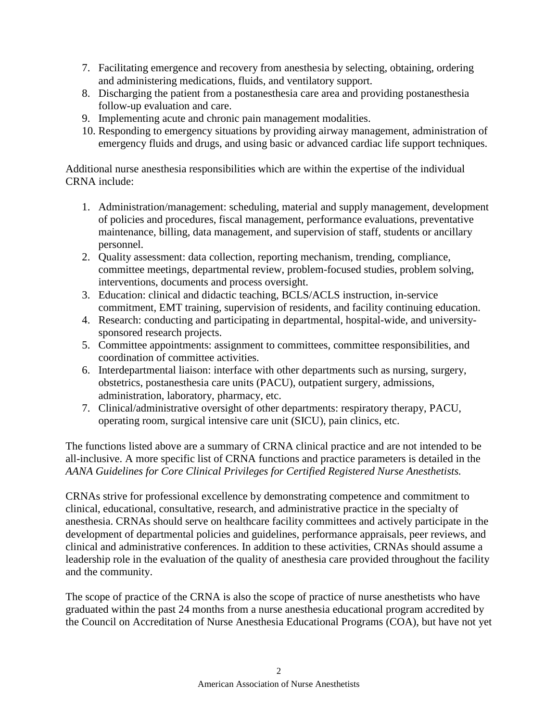- 7. Facilitating emergence and recovery from anesthesia by selecting, obtaining, ordering and administering medications, fluids, and ventilatory support.
- 8. Discharging the patient from a postanesthesia care area and providing postanesthesia follow-up evaluation and care.
- 9. Implementing acute and chronic pain management modalities.
- 10. Responding to emergency situations by providing airway management, administration of emergency fluids and drugs, and using basic or advanced cardiac life support techniques.

Additional nurse anesthesia responsibilities which are within the expertise of the individual CRNA include:

- 1. Administration/management: scheduling, material and supply management, development of policies and procedures, fiscal management, performance evaluations, preventative maintenance, billing, data management, and supervision of staff, students or ancillary personnel.
- 2. Quality assessment: data collection, reporting mechanism, trending, compliance, committee meetings, departmental review, problem-focused studies, problem solving, interventions, documents and process oversight.
- 3. Education: clinical and didactic teaching, BCLS/ACLS instruction, in-service commitment, EMT training, supervision of residents, and facility continuing education.
- 4. Research: conducting and participating in departmental, hospital-wide, and universitysponsored research projects.
- 5. Committee appointments: assignment to committees, committee responsibilities, and coordination of committee activities.
- 6. Interdepartmental liaison: interface with other departments such as nursing, surgery, obstetrics, postanesthesia care units (PACU), outpatient surgery, admissions, administration, laboratory, pharmacy, etc.
- 7. Clinical/administrative oversight of other departments: respiratory therapy, PACU, operating room, surgical intensive care unit (SICU), pain clinics, etc.

The functions listed above are a summary of CRNA clinical practice and are not intended to be all-inclusive. A more specific list of CRNA functions and practice parameters is detailed in the *AANA Guidelines for Core Clinical Privileges for Certified Registered Nurse Anesthetists.*

CRNAs strive for professional excellence by demonstrating competence and commitment to clinical, educational, consultative, research, and administrative practice in the specialty of anesthesia. CRNAs should serve on healthcare facility committees and actively participate in the development of departmental policies and guidelines, performance appraisals, peer reviews, and clinical and administrative conferences. In addition to these activities, CRNAs should assume a leadership role in the evaluation of the quality of anesthesia care provided throughout the facility and the community.

The scope of practice of the CRNA is also the scope of practice of nurse anesthetists who have graduated within the past 24 months from a nurse anesthesia educational program accredited by the Council on Accreditation of Nurse Anesthesia Educational Programs (COA), but have not yet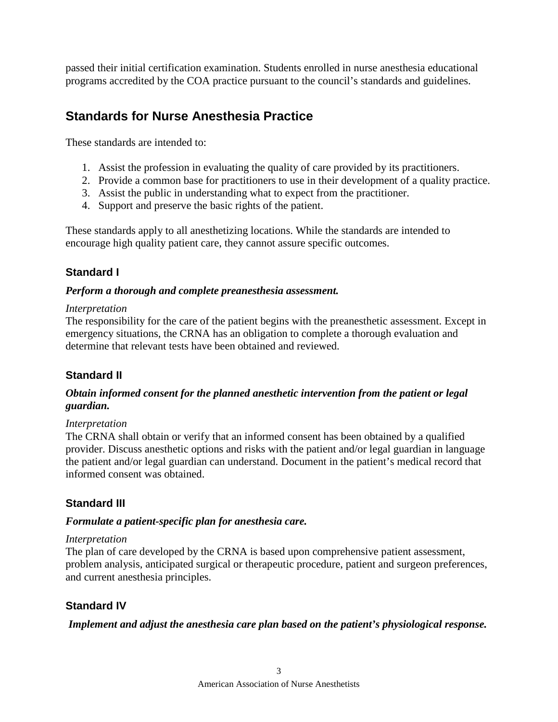passed their initial certification examination. Students enrolled in nurse anesthesia educational programs accredited by the COA practice pursuant to the council's standards and guidelines.

# **Standards for Nurse Anesthesia Practice**

These standards are intended to:

- 1. Assist the profession in evaluating the quality of care provided by its practitioners.
- 2. Provide a common base for practitioners to use in their development of a quality practice.
- 3. Assist the public in understanding what to expect from the practitioner.
- 4. Support and preserve the basic rights of the patient.

These standards apply to all anesthetizing locations. While the standards are intended to encourage high quality patient care, they cannot assure specific outcomes.

# **Standard I**

# *Perform a thorough and complete preanesthesia assessment.*

## *Interpretation*

The responsibility for the care of the patient begins with the preanesthetic assessment. Except in emergency situations, the CRNA has an obligation to complete a thorough evaluation and determine that relevant tests have been obtained and reviewed.

# **Standard II**

# *Obtain informed consent for the planned anesthetic intervention from the patient or legal guardian.*

## *Interpretation*

The CRNA shall obtain or verify that an informed consent has been obtained by a qualified provider. Discuss anesthetic options and risks with the patient and/or legal guardian in language the patient and/or legal guardian can understand. Document in the patient's medical record that informed consent was obtained.

# **Standard III**

## *Formulate a patient-specific plan for anesthesia care.*

## *Interpretation*

The plan of care developed by the CRNA is based upon comprehensive patient assessment, problem analysis, anticipated surgical or therapeutic procedure, patient and surgeon preferences, and current anesthesia principles.

# **Standard IV**

# *Implement and adjust the anesthesia care plan based on the patient's physiological response.*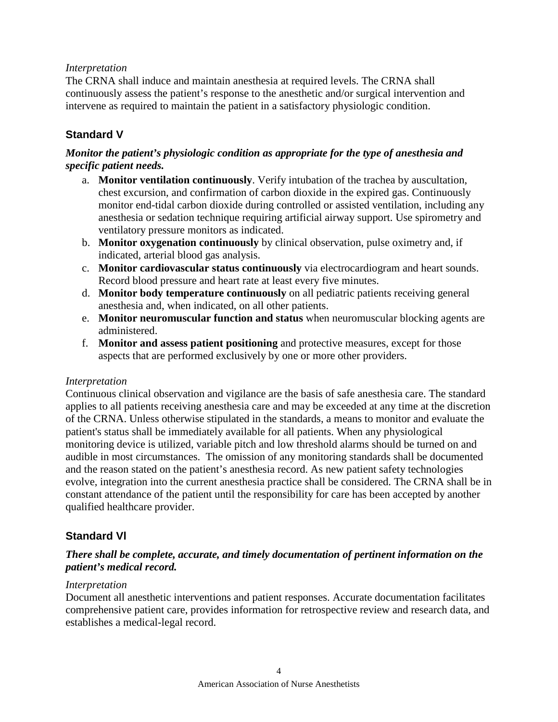# *Interpretation*

The CRNA shall induce and maintain anesthesia at required levels. The CRNA shall continuously assess the patient's response to the anesthetic and/or surgical intervention and intervene as required to maintain the patient in a satisfactory physiologic condition.

# **Standard V**

# *Monitor the patient's physiologic condition as appropriate for the type of anesthesia and specific patient needs.*

- a. **Monitor ventilation continuously**. Verify intubation of the trachea by auscultation, chest excursion, and confirmation of carbon dioxide in the expired gas. Continuously monitor end-tidal carbon dioxide during controlled or assisted ventilation, including any anesthesia or sedation technique requiring artificial airway support. Use spirometry and ventilatory pressure monitors as indicated.
- b. **Monitor oxygenation continuously** by clinical observation, pulse oximetry and, if indicated, arterial blood gas analysis.
- c. **Monitor cardiovascular status continuously** via electrocardiogram and heart sounds. Record blood pressure and heart rate at least every five minutes.
- d. **Monitor body temperature continuously** on all pediatric patients receiving general anesthesia and, when indicated, on all other patients.
- e. **Monitor neuromuscular function and status** when neuromuscular blocking agents are administered.
- f. **Monitor and assess patient positioning** and protective measures, except for those aspects that are performed exclusively by one or more other providers.

## *Interpretation*

Continuous clinical observation and vigilance are the basis of safe anesthesia care. The standard applies to all patients receiving anesthesia care and may be exceeded at any time at the discretion of the CRNA. Unless otherwise stipulated in the standards, a means to monitor and evaluate the patient's status shall be immediately available for all patients. When any physiological monitoring device is utilized, variable pitch and low threshold alarms should be turned on and audible in most circumstances. The omission of any monitoring standards shall be documented and the reason stated on the patient's anesthesia record. As new patient safety technologies evolve, integration into the current anesthesia practice shall be considered. The CRNA shall be in constant attendance of the patient until the responsibility for care has been accepted by another qualified healthcare provider.

# **Standard Vl**

# *There shall be complete, accurate, and timely documentation of pertinent information on the patient's medical record.*

## *Interpretation*

Document all anesthetic interventions and patient responses. Accurate documentation facilitates comprehensive patient care, provides information for retrospective review and research data, and establishes a medical-legal record.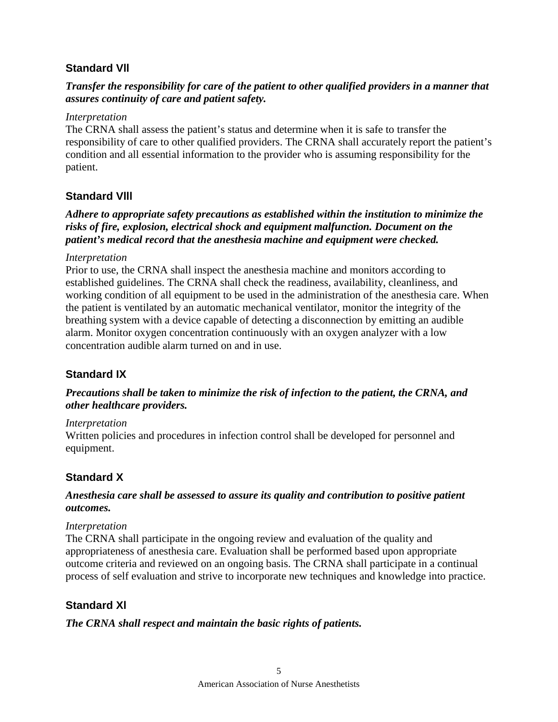# **Standard Vll**

# *Transfer the responsibility for care of the patient to other qualified providers in a manner that assures continuity of care and patient safety.*

## *Interpretation*

The CRNA shall assess the patient's status and determine when it is safe to transfer the responsibility of care to other qualified providers. The CRNA shall accurately report the patient's condition and all essential information to the provider who is assuming responsibility for the patient.

# **Standard Vlll**

# *Adhere to appropriate safety precautions as established within the institution to minimize the risks of fire, explosion, electrical shock and equipment malfunction. Document on the patient's medical record that the anesthesia machine and equipment were checked.*

## *Interpretation*

Prior to use, the CRNA shall inspect the anesthesia machine and monitors according to established guidelines. The CRNA shall check the readiness, availability, cleanliness, and working condition of all equipment to be used in the administration of the anesthesia care. When the patient is ventilated by an automatic mechanical ventilator, monitor the integrity of the breathing system with a device capable of detecting a disconnection by emitting an audible alarm. Monitor oxygen concentration continuously with an oxygen analyzer with a low concentration audible alarm turned on and in use.

# **Standard IX**

# *Precautions shall be taken to minimize the risk of infection to the patient, the CRNA, and other healthcare providers.*

## *Interpretation*

Written policies and procedures in infection control shall be developed for personnel and equipment.

# **Standard X**

# *Anesthesia care shall be assessed to assure its quality and contribution to positive patient outcomes.*

## *Interpretation*

The CRNA shall participate in the ongoing review and evaluation of the quality and appropriateness of anesthesia care. Evaluation shall be performed based upon appropriate outcome criteria and reviewed on an ongoing basis. The CRNA shall participate in a continual process of self evaluation and strive to incorporate new techniques and knowledge into practice.

# **Standard Xl**

## *The CRNA shall respect and maintain the basic rights of patients.*